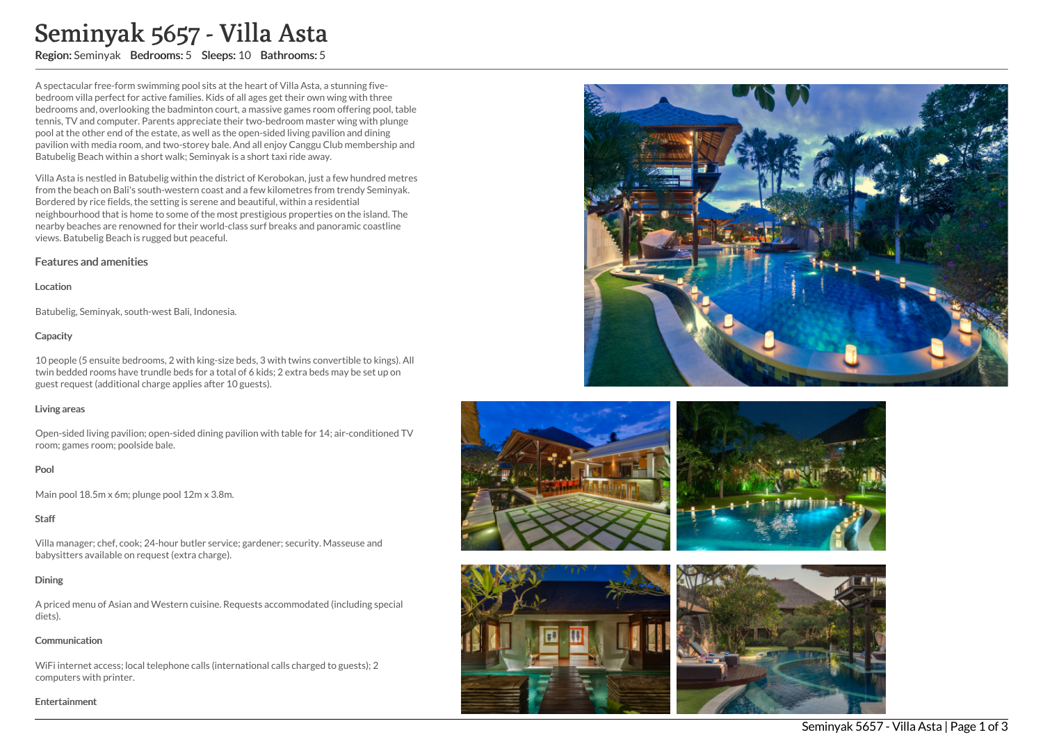# Seminyak 5657 - Villa Asta

Region: Seminyak Bedrooms: 5 Sleeps: 10 Bathrooms: 5

A spectacular free-form swimming pool sits at the heart of Villa Asta, a stunning fivebedroom villa perfect for active families. Kids of all ages get their own wing with three bedrooms and, overlooking the badminton court, a massive games room offering pool, table tennis, TV and computer. Parents appreciate their two-bedroom master wing with plunge pool at the other end of the estate, as well as the open-sided living pavilion and dining pavilion with media room, and two-storey bale. And all enjoy Canggu Club membership and Batubelig Beach within a short walk; Seminyak is a short taxi ride away.

Villa Asta is nestled in Batubelig within the district of Kerobokan, just a few hundred metres from the beach on Bali's south-western coast and a few kilometres from trendy Seminyak. Bordered by rice fields, the setting is serene and beautiful, within a residential neighbourhood that is home to some of the most prestigious properties on the island. The nearby beaches are renowned for their world-class surf breaks and panoramic coastline views. Batubelig Beach is rugged but peaceful.

## Features and amenities

## Location

Batubelig, Seminyak, south-west Bali, Indonesia.

## **Capacity**

10 people (5 ensuite bedrooms, 2 with king-size beds, 3 with twins convertible to kings). All twin bedded rooms have trundle beds for a total of 6 kids; 2 extra beds may be set up on guest request (additional charge applies after 10 guests).

# Living areas

Open-sided living pavilion; open-sided dining pavilion with table for 14; air-conditioned TV room; games room; poolside bale.

# Pool

Main pool 18.5m x 6m; plunge pool 12m x 3.8m.

# **Staff**

Villa manager; chef, cook; 24-hour butler service; gardener; security. Masseuse and babysitters available on request (extra charge).

# **Dining**

A priced menu of Asian and Western cuisine. Requests accommodated (including special diets).

# **Communication**

WiFi internet access; local telephone calls (international calls charged to guests); 2 computers with printer.

#### Entertainment









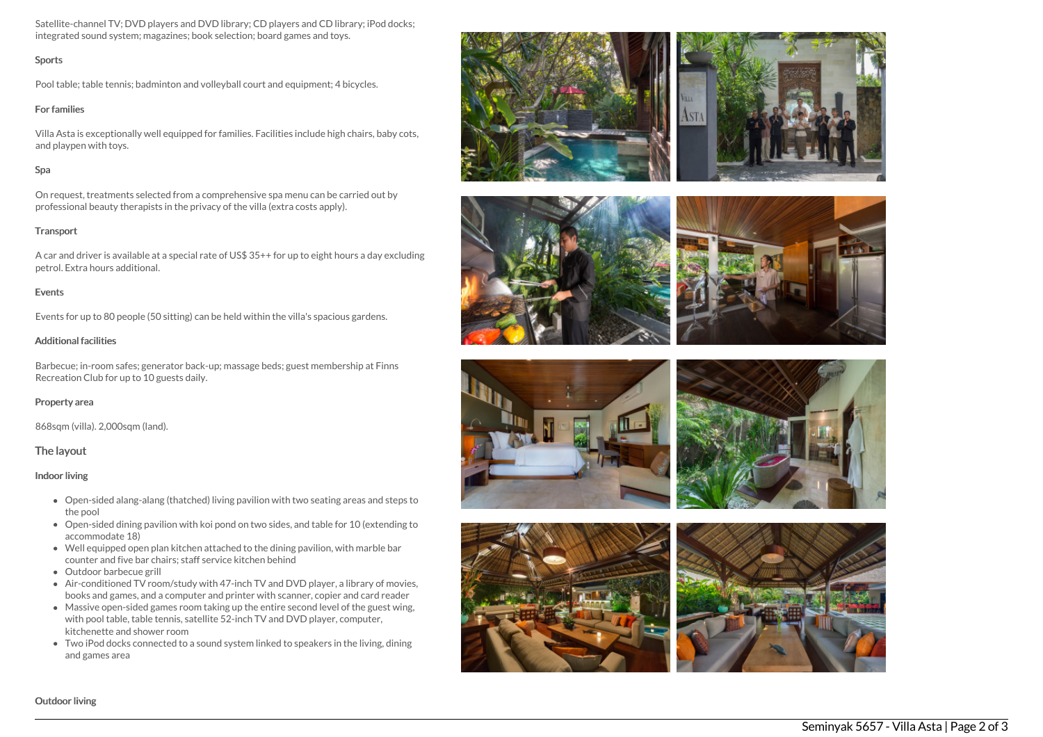Satellite-channel TV; DVD players and DVD library; CD players and CD library; iPod docks; integrated sound system; magazines; book selection; board games and toys.

## Sports

Pool table; table tennis; badminton and volleyball court and equipment; 4 bicycles.

## For families

Villa Asta is exceptionally well equipped for families. Facilities include high chairs, baby cots, and playpen with toys.

# Spa

On request, treatments selected from a comprehensive spa menu can be carried out by professional beauty therapists in the privacy of the villa (extra costs apply).

# **Transport**

A car and driver is available at a special rate of US\$ 35++ for up to eight hours a day excluding petrol. Extra hours additional.

# **Events**

Events for up to 80 people (50 sitting) can be held within the villa's spacious gardens.

# Additional facilities

Barbecue; in-room safes; generator back-up; massage beds; guest membership at Finns Recreation Club for up to 10 guests daily.

# Property area

868sqm (villa). 2,000sqm (land).

# The layout

## Indoor living

- Open-sided alang-alang (thatched) living pavilion with two seating areas and steps to the pool
- Open-sided dining pavilion with koi pond on two sides, and table for 10 (extending to accommodate 18)
- Well equipped open plan kitchen attached to the dining pavilion, with marble bar counter and five bar chairs; staff service kitchen behind
- Outdoor barbecue grill
- Air-conditioned TV room/study with 47-inch TV and DVD player, a library of movies, books and games, and a computer and printer with scanner, copier and card reader
- Massive open-sided games room taking up the entire second level of the guest wing, with pool table, table tennis, satellite 52-inch TV and DVD player, computer, kitchenette and shower room
- Two iPod docks connected to a sound system linked to speakers in the living, dining and games area